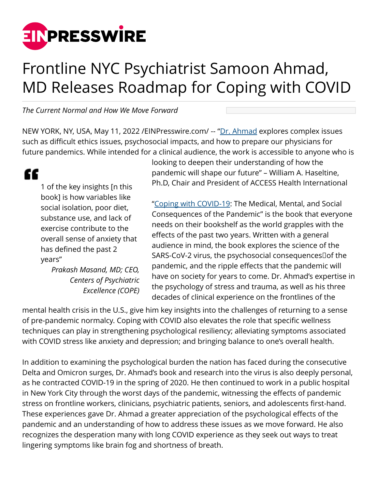

## Frontline NYC Psychiatrist Samoon Ahmad, MD Releases Roadmap for Coping with COVID

*The Current Normal and How We Move Forward*

NEW YORK, NY, USA, May 11, 2022 / [EINPresswire.com](http://www.einpresswire.com)/ -- "[Dr. Ahmad](https://samoonmd.com/about-us/about-dr-ahmad/) explores complex issues such as difficult ethics issues, psychosocial impacts, and how to prepare our physicians for future pandemics. While intended for a clinical audience, the work is accessible to anyone who is

## "

1 of the key insights [n this book] is how variables like social isolation, poor diet, substance use, and lack of exercise contribute to the overall sense of anxiety that has defined the past 2 years"

> *Prakash Masand, MD; CEO, Centers of Psychiatric Excellence (COPE)*

looking to deepen their understanding of how the pandemic will shape our future" – William A. Haseltine, Ph.D, Chair and President of ACCESS Health International

["Coping with COVID-19:](https://www.cov19book.com/) The Medical, Mental, and Social Consequences of the Pandemic" is the book that everyone needs on their bookshelf as the world grapples with the effects of the past two years. Written with a general audience in mind, the book explores the science of the SARS-CoV-2 virus, the psychosocial consequencesDof the pandemic, and the ripple effects that the pandemic will have on society for years to come. Dr. Ahmad's expertise in the psychology of stress and trauma, as well as his three decades of clinical experience on the frontlines of the

mental health crisis in the U.S., give him key insights into the challenges of returning to a sense of pre-pandemic normalcy. Coping with COVID also elevates the role that specific wellness techniques can play in strengthening psychological resiliency; alleviating symptoms associated with COVID stress like anxiety and depression; and bringing balance to one's overall health.

In addition to examining the psychological burden the nation has faced during the consecutive Delta and Omicron surges, Dr. Ahmad's book and research into the virus is also deeply personal, as he contracted COVID-19 in the spring of 2020. He then continued to work in a public hospital in New York City through the worst days of the pandemic, witnessing the effects of pandemic stress on frontline workers, clinicians, psychiatric patients, seniors, and adolescents first-hand. These experiences gave Dr. Ahmad a greater appreciation of the psychological effects of the pandemic and an understanding of how to address these issues as we move forward. He also recognizes the desperation many with long COVID experience as they seek out ways to treat lingering symptoms like brain fog and shortness of breath.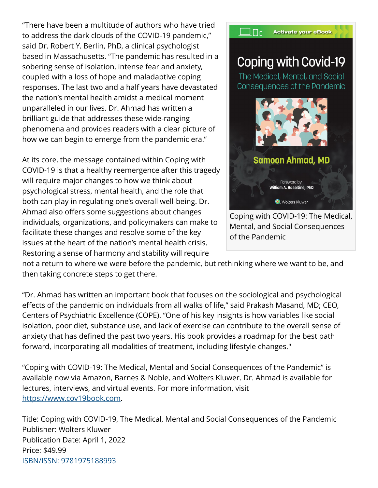"There have been a multitude of authors who have tried to address the dark clouds of the COVID-19 pandemic," said Dr. Robert Y. Berlin, PhD, a clinical psychologist based in Massachusetts. "The pandemic has resulted in a sobering sense of isolation, intense fear and anxiety, coupled with a loss of hope and maladaptive coping responses. The last two and a half years have devastated the nation's mental health amidst a medical moment unparalleled in our lives. Dr. Ahmad has written a brilliant guide that addresses these wide-ranging phenomena and provides readers with a clear picture of how we can begin to emerge from the pandemic era."

At its core, the message contained within Coping with COVID-19 is that a healthy reemergence after this tragedy will require major changes to how we think about psychological stress, mental health, and the role that both can play in regulating one's overall well-being. Dr. Ahmad also offers some suggestions about changes individuals, organizations, and policymakers can make to facilitate these changes and resolve some of the key issues at the heart of the nation's mental health crisis. Restoring a sense of harmony and stability will require



not a return to where we were before the pandemic, but rethinking where we want to be, and then taking concrete steps to get there.

"Dr. Ahmad has written an important book that focuses on the sociological and psychological effects of the pandemic on individuals from all walks of life," said Prakash Masand, MD; CEO, Centers of Psychiatric Excellence (COPE). "One of his key insights is how variables like social isolation, poor diet, substance use, and lack of exercise can contribute to the overall sense of anxiety that has defined the past two years. His book provides a roadmap for the best path forward, incorporating all modalities of treatment, including lifestyle changes."

"Coping with COVID-19: The Medical, Mental and Social Consequences of the Pandemic" is available now via Amazon, Barnes & Noble, and Wolters Kluwer. Dr. Ahmad is available for lectures, interviews, and virtual events. For more information, visit <https://www.cov19book.com>.

Title: Coping with COVID-19, The Medical, Mental and Social Consequences of the Pandemic Publisher: Wolters Kluwer Publication Date: April 1, 2022 Price: \$49.99 [ISBN/ISSN: 9781975188993](https://shop.lww.com/Coping-with-COVID-19/p/9781975188993)